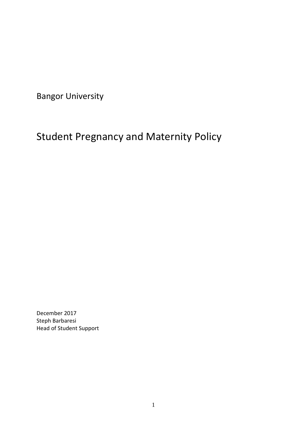Bangor University

# Student Pregnancy and Maternity Policy

December 2017 Steph Barbaresi Head of Student Support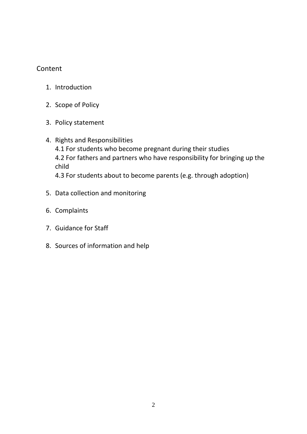# Content

- 1. Introduction
- 2. Scope of Policy
- 3. Policy statement
- 4. Rights and Responsibilities 4.1 For students who become pregnant during their studies 4.2 For fathers and partners who have responsibility for bringing up the child 4.3 For students about to become parents (e.g. through adoption)
- 5. Data collection and monitoring
- 6. Complaints
- 7. Guidance for Staff
- 8. Sources of information and help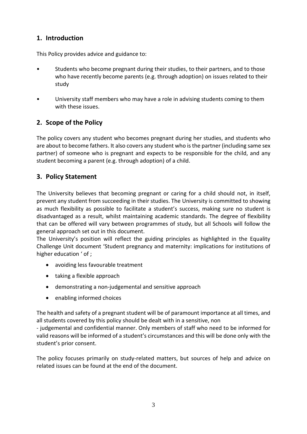# **1. Introduction**

This Policy provides advice and guidance to:

- Students who become pregnant during their studies, to their partners, and to those who have recently become parents (e.g. through adoption) on issues related to their study
- University staff members who may have a role in advising students coming to them with these issues.

# **2. Scope of the Policy**

The policy covers any student who becomes pregnant during her studies, and students who are about to become fathers. It also covers any student who is the partner (including same sex partner) of someone who is pregnant and expects to be responsible for the child, and any student becoming a parent (e.g. through adoption) of a child.

# **3. Policy Statement**

The University believes that becoming pregnant or caring for a child should not, in itself, prevent any student from succeeding in their studies. The University is committed to showing as much flexibility as possible to facilitate a student's success, making sure no student is disadvantaged as a result, whilst maintaining academic standards. The degree of flexibility that can be offered will vary between programmes of study, but all Schools will follow the general approach set out in this document.

The University's position will reflect the guiding principles as highlighted in the Equality Challenge Unit document 'Student pregnancy and maternity: implications for institutions of higher education ' of ;

- avoiding less favourable treatment
- taking a flexible approach
- demonstrating a non-judgemental and sensitive approach
- enabling informed choices

The health and safety of a pregnant student will be of paramount importance at all times, and all students covered by this policy should be dealt with in a sensitive, non

- judgemental and confidential manner. Only members of staff who need to be informed for valid reasons will be informed of a student's circumstances and this will be done only with the student's prior consent.

The policy focuses primarily on study-related matters, but sources of help and advice on related issues can be found at the end of the document.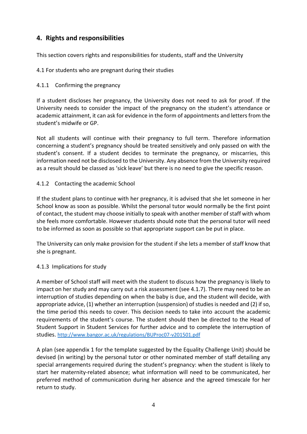# **4. Rights and responsibilities**

This section covers rights and responsibilities for students, staff and the University

4.1 For students who are pregnant during their studies

#### 4.1.1 Confirming the pregnancy

If a student discloses her pregnancy, the University does not need to ask for proof. If the University needs to consider the impact of the pregnancy on the student's attendance or academic attainment, it can ask for evidence in the form of appointments and letters from the student's midwife or GP.

Not all students will continue with their pregnancy to full term. Therefore information concerning a student's pregnancy should be treated sensitively and only passed on with the student's consent. If a student decides to terminate the pregnancy, or miscarries, this information need not be disclosed to the University. Any absence from the University required as a result should be classed as 'sick leave' but there is no need to give the specific reason.

## 4.1.2 Contacting the academic School

If the student plans to continue with her pregnancy, it is advised that she let someone in her School know as soon as possible. Whilst the personal tutor would normally be the first point of contact, the student may choose initially to speak with another member of staff with whom she feels more comfortable. However students should note that the personal tutor will need to be informed as soon as possible so that appropriate support can be put in place.

The University can only make provision for the student if she lets a member of staff know that she is pregnant.

#### 4.1.3 Implications for study

A member of School staff will meet with the student to discuss how the pregnancy is likely to impact on her study and may carry out a risk assessment (see 4.1.7). There may need to be an interruption of studies depending on when the baby is due, and the student will decide, with appropriate advice, (1) whether an interruption (suspension) of studies is needed and (2) if so, the time period this needs to cover. This decision needs to take into account the academic requirements of the student's course. The student should then be directed to the Head of Student Support in Student Services for further advice and to complete the interruption of studies. <http://www.bangor.ac.uk/regulations/BUProc07-v201501.pdf>

A plan (see appendix 1 for the template suggested by the Equality Challenge Unit) should be devised (in writing) by the personal tutor or other nominated member of staff detailing any special arrangements required during the student's pregnancy: when the student is likely to start her maternity-related absence; what information will need to be communicated, her preferred method of communication during her absence and the agreed timescale for her return to study.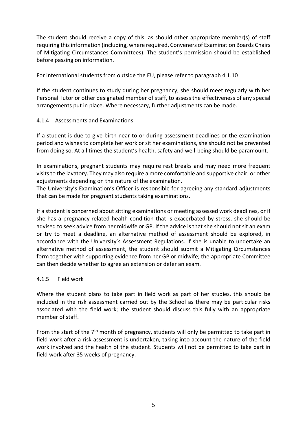The student should receive a copy of this, as should other appropriate member(s) of staff requiring this information (including, where required, Conveners of Examination Boards Chairs of Mitigating Circumstances Committees). The student's permission should be established before passing on information.

For international students from outside the EU, please refer to paragraph 4.1.10

If the student continues to study during her pregnancy, she should meet regularly with her Personal Tutor or other designated member of staff, to assess the effectiveness of any special arrangements put in place. Where necessary, further adjustments can be made.

## 4.1.4 Assessments and Examinations

If a student is due to give birth near to or during assessment deadlines or the examination period and wishes to complete her work or sit her examinations, she should not be prevented from doing so. At all times the student's health, safety and well-being should be paramount.

In examinations, pregnant students may require rest breaks and may need more frequent visits to the lavatory. They may also require a more comfortable and supportive chair, or other adjustments depending on the nature of the examination.

The University's Examination's Officer is responsible for agreeing any standard adjustments that can be made for pregnant students taking examinations.

If a student is concerned about sitting examinations or meeting assessed work deadlines, or if she has a pregnancy-related health condition that is exacerbated by stress, she should be advised to seek advice from her midwife or GP. If the advice is that she should not sit an exam or try to meet a deadline, an alternative method of assessment should be explored, in accordance with the University's Assessment Regulations. If she is unable to undertake an alternative method of assessment, the student should submit a Mitigating Circumstances form together with supporting evidence from her GP or midwife; the appropriate Committee can then decide whether to agree an extension or defer an exam.

#### 4.1.5 Field work

Where the student plans to take part in field work as part of her studies, this should be included in the risk assessment carried out by the School as there may be particular risks associated with the field work; the student should discuss this fully with an appropriate member of staff.

From the start of the 7<sup>th</sup> month of pregnancy, students will only be permitted to take part in field work after a risk assessment is undertaken, taking into account the nature of the field work involved and the health of the student. Students will not be permitted to take part in field work after 35 weeks of pregnancy.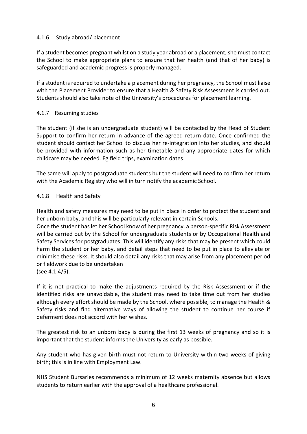#### 4.1.6 Study abroad/ placement

If a student becomes pregnant whilst on a study year abroad or a placement, she must contact the School to make appropriate plans to ensure that her health (and that of her baby) is safeguarded and academic progress is properly managed.

If a student is required to undertake a placement during her pregnancy, the School must liaise with the Placement Provider to ensure that a Health & Safety Risk Assessment is carried out. Students should also take note of the University's procedures for placement learning.

## 4.1.7 Resuming studies

The student (if she is an undergraduate student) will be contacted by the Head of Student Support to confirm her return in advance of the agreed return date. Once confirmed the student should contact her School to discuss her re-integration into her studies, and should be provided with information such as her timetable and any appropriate dates for which childcare may be needed. Eg field trips, examination dates.

The same will apply to postgraduate students but the student will need to confirm her return with the Academic Registry who will in turn notify the academic School.

#### 4.1.8 Health and Safety

Health and safety measures may need to be put in place in order to protect the student and her unborn baby, and this will be particularly relevant in certain Schools.

Once the student has let her School know of her pregnancy, a person-specific Risk Assessment will be carried out by the School for undergraduate students or by Occupational Health and Safety Services for postgraduates. This will identify any risks that may be present which could harm the student or her baby, and detail steps that need to be put in place to alleviate or minimise these risks. It should also detail any risks that may arise from any placement period or fieldwork due to be undertaken (see 4.1.4/5).

If it is not practical to make the adjustments required by the Risk Assessment or if the identified risks are unavoidable, the student may need to take time out from her studies although every effort should be made by the School, where possible, to manage the Health & Safety risks and find alternative ways of allowing the student to continue her course if deferment does not accord with her wishes.

The greatest risk to an unborn baby is during the first 13 weeks of pregnancy and so it is important that the student informs the University as early as possible.

Any student who has given birth must not return to University within two weeks of giving birth; this is in line with Employment Law.

NHS Student Bursaries recommends a minimum of 12 weeks maternity absence but allows students to return earlier with the approval of a healthcare professional.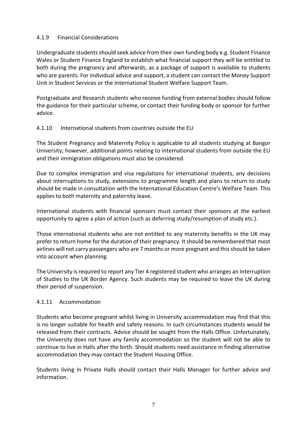#### 4.1.9 Financial Considerations

Undergraduate students should seek advice from their own funding body e.g. Student Finance Wales or Student Finance England to establish what financial support they will be entitled to both during the pregnancy and afterwards, as a package of support is available to students who are parents. For individual advice and support, a student can contact the Money Support Unit in Student Services or the International Student Welfare Support Team.

Postgraduate and Research students who receive funding from external bodies should follow the guidance for their particular scheme, or contact their funding body or sponsor for further advice.

## 4.1.10 International students from countries outside the EU

The Student Pregnancy and Maternity Policy is applicable to all students studying at Bangor University; however, additional points relating to international students from outside the EU and their immigration obligations must also be considered.

Due to complex immigration and visa regulations for international students, any decisions about interruptions to study, extensions to programme length and plans to return to study should be made in consultation with the International Education Centre's Welfare Team. This applies to both maternity and paternity leave.

International students with financial sponsors must contact their sponsors at the earliest opportunity to agree a plan of action (such as deferring study/resumption of study etc.).

Those international students who are not entitled to any maternity benefits in the UK may prefer to return home for the duration of their pregnancy. It should be remembered that most airlines will not carry passengers who are 7 months or more pregnant and this should be taken into account when planning.

The University is required to report any Tier 4 registered student who arranges an Interruption of Studies to the UK Border Agency. Such students may be required to leave the UK during their period of suspension.

#### 4.1.11 Accommodation

Students who become pregnant whilst living in University accommodation may find that this is no longer suitable for health and safety reasons. In such circumstances students would be released from their contracts. Advice should be sought from the Halls Office. Unfortunately, the University does not have any family accommodation so the student will not be able to continue to live in Halls after the birth. Should students need assistance in finding alternative accommodation they may contact the Student Housing Office.

Students living in Private Halls should contact their Halls Manager for further advice and information.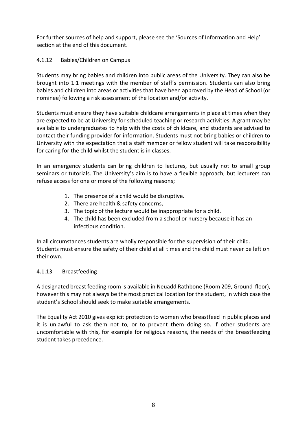For further sources of help and support, please see the 'Sources of Information and Help' section at the end of this document.

## 4.1.12 Babies/Children on Campus

Students may bring babies and children into public areas of the University. They can also be brought into 1:1 meetings with the member of staff's permission. Students can also bring babies and children into areas or activities that have been approved by the Head of School (or nominee) following a risk assessment of the location and/or activity.

Students must ensure they have suitable childcare arrangements in place at times when they are expected to be at University for scheduled teaching or research activities. A grant may be available to undergraduates to help with the costs of childcare, and students are advised to contact their funding provider for information. Students must not bring babies or children to University with the expectation that a staff member or fellow student will take responsibility for caring for the child whilst the student is in classes.

In an emergency students can bring children to lectures, but usually not to small group seminars or tutorials. The University's aim is to have a flexible approach, but lecturers can refuse access for one or more of the following reasons;

- 1. The presence of a child would be disruptive.
- 2. There are health & safety concerns,
- 3. The topic of the lecture would be inappropriate for a child.
- 4. The child has been excluded from a school or nursery because it has an infectious condition.

In all circumstances students are wholly responsible for the supervision of their child. Students must ensure the safety of their child at all times and the child must never be left on their own.

#### 4.1.13 Breastfeeding

A designated breast feeding room is available in Neuadd Rathbone (Room 209, Ground floor), however this may not always be the most practical location for the student, in which case the student's School should seek to make suitable arrangements.

The Equality Act 2010 gives explicit protection to women who breastfeed in public places and it is unlawful to ask them not to, or to prevent them doing so. If other students are uncomfortable with this, for example for religious reasons, the needs of the breastfeeding student takes precedence.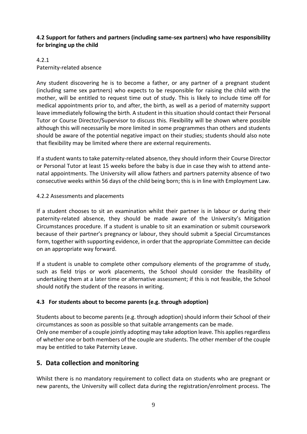## **4.2 Support for fathers and partners (including same-sex partners) who have responsibility for bringing up the child**

#### 4.2.1

Paternity-related absence

Any student discovering he is to become a father, or any partner of a pregnant student (including same sex partners) who expects to be responsible for raising the child with the mother, will be entitled to request time out of study. This is likely to include time off for medical appointments prior to, and after, the birth, as well as a period of maternity support leave immediately following the birth. A student in this situation should contact their Personal Tutor or Course Director/Supervisor to discuss this. Flexibility will be shown where possible although this will necessarily be more limited in some programmes than others and students should be aware of the potential negative impact on their studies; students should also note that flexibility may be limited where there are external requirements.

If a student wants to take paternity-related absence, they should inform their Course Director or Personal Tutor at least 15 weeks before the baby is due in case they wish to attend antenatal appointments. The University will allow fathers and partners paternity absence of two consecutive weeks within 56 days of the child being born; this is in line with Employment Law.

#### 4.2.2 Assessments and placements

If a student chooses to sit an examination whilst their partner is in labour or during their paternity-related absence, they should be made aware of the University's Mitigation Circumstances procedure. If a student is unable to sit an examination or submit coursework because of their partner's pregnancy or labour, they should submit a Special Circumstances form, together with supporting evidence, in order that the appropriate Committee can decide on an appropriate way forward.

If a student is unable to complete other compulsory elements of the programme of study, such as field trips or work placements, the School should consider the feasibility of undertaking them at a later time or alternative assessment; if this is not feasible, the School should notify the student of the reasons in writing.

## **4.3 For students about to become parents (e.g. through adoption)**

Students about to become parents (e.g. through adoption) should inform their School of their circumstances as soon as possible so that suitable arrangements can be made.

Only one member of a couple jointly adopting may take adoption leave. This applies regardless of whether one or both members of the couple are students. The other member of the couple may be entitled to take Paternity Leave.

## **5. Data collection and monitoring**

Whilst there is no mandatory requirement to collect data on students who are pregnant or new parents, the University will collect data during the registration/enrolment process. The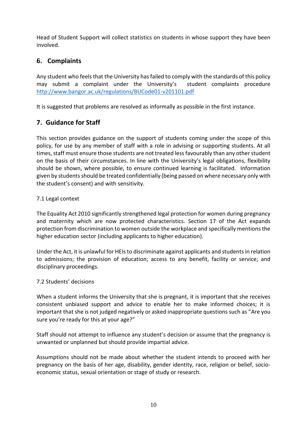Head of Student Support will collect statistics on students in whose support they have been involved.

## **6. Complaints**

Any student who feels that the University has failed to comply with the standards of this policy may submit a complaint under the University's student complaints procedure <http://www.bangor.ac.uk/regulations/BUCode01-v201101.pdf>

It is suggested that problems are resolved as informally as possible in the first instance.

## **7. Guidance for Staff**

This section provides guidance on the support of students coming under the scope of this policy, for use by any member of staff with a role in advising or supporting students. At all times, staff must ensure those students are not treated less favourably than any other student on the basis of their circumstances. In line with the University's legal obligations, flexibility should be shown, where possible, to ensure continued learning is facilitated. Information given by students should be treated confidentially (being passed on where necessary only with the student's consent) and with sensitivity.

#### 7.1 Legal context

The Equality Act 2010 significantly strengthened legal protection for women during pregnancy and maternity which are now protected characteristics. Section 17 of the Act expands protection from discrimination to women outside the workplace and specifically mentions the higher education sector (including applicants to higher education).

Under the Act, it is unlawful for HEIs to discriminate against applicants and students in relation to admissions; the provision of education; access to any benefit, facility or service; and disciplinary proceedings.

#### 7.2 Students' decisions

When a student informs the University that she is pregnant, it is important that she receives consistent unbiased support and advice to enable her to make informed choices; it is important that she is not judged negatively or asked inappropriate questions such as "Are you sure you're ready for this at your age?"

Staff should not attempt to influence any student's decision or assume that the pregnancy is unwanted or unplanned but should provide impartial advice.

Assumptions should not be made about whether the student intends to proceed with her pregnancy on the basis of her age, disability, gender identity, race, religion or belief, socioeconomic status, sexual orientation or stage of study or research.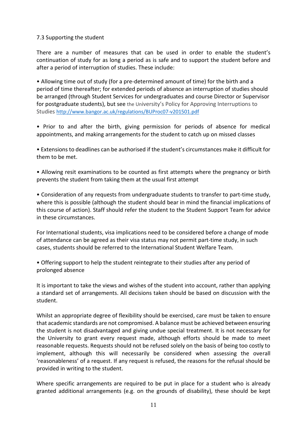#### 7.3 Supporting the student

There are a number of measures that can be used in order to enable the student's continuation of study for as long a period as is safe and to support the student before and after a period of interruption of studies. These include:

• Allowing time out of study (for a pre-determined amount of time) for the birth and a period of time thereafter; for extended periods of absence an interruption of studies should be arranged (through Student Services for undergraduates and course Director or Supervisor for postgraduate students), but see the University's Policy for Approving Interruptions to Studies <http://www.bangor.ac.uk/regulations/BUProc07-v201501.pdf>

• Prior to and after the birth, giving permission for periods of absence for medical appointments, and making arrangements for the student to catch up on missed classes

• Extensions to deadlines can be authorised if the student's circumstances make it difficult for them to be met.

• Allowing resit examinations to be counted as first attempts where the pregnancy or birth prevents the student from taking them at the usual first attempt

• Consideration of any requests from undergraduate students to transfer to part-time study, where this is possible (although the student should bear in mind the financial implications of this course of action). Staff should refer the student to the Student Support Team for advice in these circumstances.

For International students, visa implications need to be considered before a change of mode of attendance can be agreed as their visa status may not permit part-time study, in such cases, students should be referred to the International Student Welfare Team.

• Offering support to help the student reintegrate to their studies after any period of prolonged absence

It is important to take the views and wishes of the student into account, rather than applying a standard set of arrangements. All decisions taken should be based on discussion with the student.

Whilst an appropriate degree of flexibility should be exercised, care must be taken to ensure that academic standards are not compromised. A balance must be achieved between ensuring the student is not disadvantaged and giving undue special treatment. It is not necessary for the University to grant every request made, although efforts should be made to meet reasonable requests. Requests should not be refused solely on the basis of being too costly to implement, although this will necessarily be considered when assessing the overall 'reasonableness' of a request. If any request is refused, the reasons for the refusal should be provided in writing to the student.

Where specific arrangements are required to be put in place for a student who is already granted additional arrangements (e.g. on the grounds of disability), these should be kept